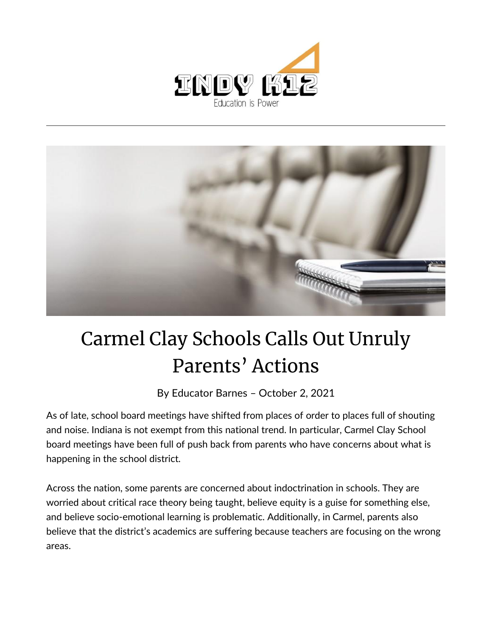



## Carmel Clay Schools Calls Out Unruly Parents' Actions

By [Educator Barnes](https://indy.education/author/shicole/) – October 2, 2021

As of late, school board meetings have shifted from places of order to places full of shouting and noise. Indiana is not exempt from this national trend. In particular, Carmel Clay School board meetings have been full of push back from parents who have concerns about what is happening in the school district.

Across the nation, some parents are concerned about indoctrination in schools. They are worried about critical race theory being taught, believe equity is a guise for something else, and believe socio-emotional learning is problematic. Additionally, in Carmel, parents also believe that the district's academics are suffering because teachers are focusing on the wrong areas.